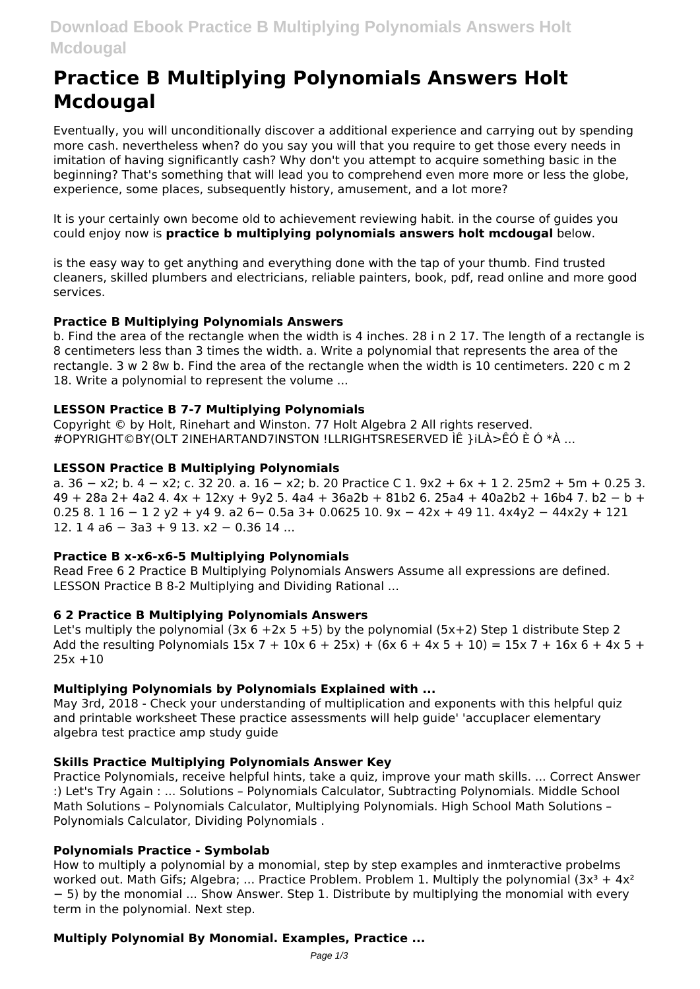# **Practice B Multiplying Polynomials Answers Holt Mcdougal**

Eventually, you will unconditionally discover a additional experience and carrying out by spending more cash. nevertheless when? do you say you will that you require to get those every needs in imitation of having significantly cash? Why don't you attempt to acquire something basic in the beginning? That's something that will lead you to comprehend even more more or less the globe. experience, some places, subsequently history, amusement, and a lot more?

It is your certainly own become old to achievement reviewing habit, in the course of guides you could enjoy now is practice b multiplying polynomials answers holt mcdougal below.

is the easy way to get anything and everything done with the tap of your thumb. Find trusted cleaners, skilled plumbers and electricians, reliable painters, book, pdf, read online and more good services.

# **Practice B Multiplying Polynomials Answers**

b. Find the area of the rectangle when the width is 4 inches, 28 i n 2 17. The length of a rectangle is 8 centimeters less than 3 times the width. a. Write a polynomial that represents the area of the rectangle. 3 w 2 8w b. Find the area of the rectangle when the width is 10 centimeters. 220 c m 2 18. Write a polynomial to represent the volume ...

# **LESSON Practice B 7-7 Multiplying Polynomials**

Copyright © by Holt, Rinehart and Winston. 77 Holt Algebra 2 All rights reserved. #OPYRIGHT©BY(OLT 2INEHARTAND7INSTON !LLRIGHTSRESERVED ÌÊ }iLÀ>ÊÓ È Ó \*À ...

# **LESSON Practice B Multiplying Polynomials**

a.  $36 - x2$ ; b.  $4 - x2$ ; c. 32 20. a.  $16 - x2$ ; b. 20 Practice C 1,  $9x2 + 6x + 12$ ,  $25m2 + 5m + 0.25$  3. 49 + 28a 2+ 4a2 4. 4x + 12xy + 9y2 5. 4a4 + 36a2b + 81b2 6. 25a4 + 40a2b2 + 16b4 7. b2 - b +  $0.258.116 - 12y2 + y49. a26 - 0.5a3 + 0.062510.9x - 42x + 4911.4x4y2 - 44x2y + 121$ 12. 1 4 a 6 - 3 a 3 + 9 13.  $x$ 2 - 0.36 14 ...

## **Practice B x-x6-x6-5 Multiplying Polynomials**

Read Free 6 2 Practice B Multiplying Polynomials Answers Assume all expressions are defined. LESSON Practice B 8-2 Multiplying and Dividing Rational ...

## 6 2 Practice B Multiplying Polynomials Answers

Let's multiply the polynomial (3x  $6 + 2x + 5$ ) by the polynomial (5x+2) Step 1 distribute Step 2 Add the resulting Polynomials  $15x 7 + 10x 6 + 25x$ ) +  $(6x 6 + 4x 5 + 10) = 15x 7 + 16x 6 + 4x 5 +$  $25x + 10$ 

# **Multiplying Polynomials by Polynomials Explained with ...**

May 3rd, 2018 - Check your understanding of multiplication and exponents with this helpful quiz and printable worksheet These practice assessments will help quide' 'accuplacer elementary algebra test practice amp study guide

## **Skills Practice Multiplying Polynomials Answer Key**

Practice Polynomials, receive helpful hints, take a quiz, improve your math skills. ... Correct Answer :) Let's Try Again : ... Solutions - Polynomials Calculator, Subtracting Polynomials, Middle School Math Solutions - Polynomials Calculator, Multiplying Polynomials. High School Math Solutions -Polynomials Calculator, Dividing Polynomials.

## **Polynomials Practice - Symbolab**

How to multiply a polynomial by a monomial, step by step examples and inmteractive probelms worked out. Math Gifs; Algebra; ... Practice Problem. Problem 1. Multiply the polynomial  $(3x^3 + 4x^2)$ - 5) by the monomial ... Show Answer. Step 1. Distribute by multiplying the monomial with every term in the polynomial. Next step.

## **Multiply Polynomial By Monomial. Examples, Practice ...**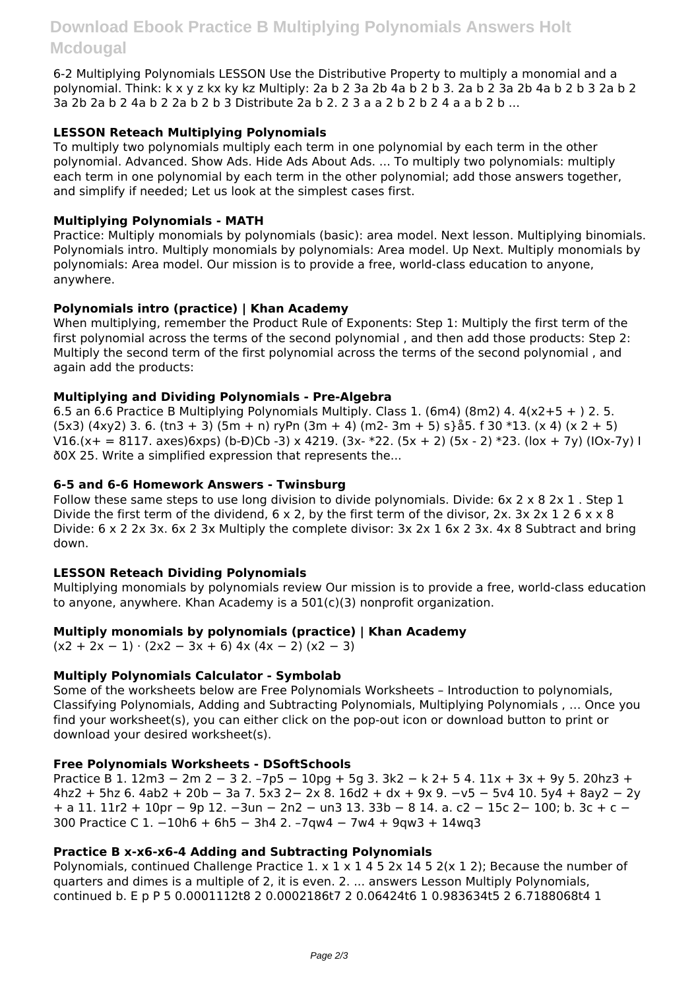6-2 Multiplying Polynomials LESSON Use the Distributive Property to multiply a monomial and a polynomial. Think: k x y z kx ky kz Multiply: 2a b 2 3a 2b 4a b 2 b 3. 2a b 2 3a 2b 4a b 2 b 3 2a b 2 3a 2b 2a b 2 4a b 2 2a b 2 b 3 Distribute 2a b 2. 2 3 a a 2 b 2 b 2 4 a a b 2 b ...

## **LESSON Reteach Multiplying Polynomials**

To multiply two polynomials multiply each term in one polynomial by each term in the other polynomial. Advanced. Show Ads. Hide Ads About Ads. ... To multiply two polynomials: multiply each term in one polynomial by each term in the other polynomial; add those answers together, and simplify if needed; Let us look at the simplest cases first.

## **Multiplying Polynomials - MATH**

Practice: Multiply monomials by polynomials (basic): area model. Next lesson. Multiplying binomials. Polynomials intro. Multiply monomials by polynomials: Area model. Up Next. Multiply monomials by polynomials: Area model. Our mission is to provide a free, world-class education to anyone, anywhere.

# **Polynomials intro (practice) | Khan Academy**

When multiplying, remember the Product Rule of Exponents: Step 1: Multiply the first term of the first polynomial across the terms of the second polynomial , and then add those products: Step 2: Multiply the second term of the first polynomial across the terms of the second polynomial , and again add the products:

## **Multiplying and Dividing Polynomials - Pre-Algebra**

6.5 an 6.6 Practice B Multiplying Polynomials Multiply. Class 1. (6m4) (8m2) 4.  $4(x2+5 + 2.5)$ .  $(5x3)$  (4xy2) 3. 6. (tn3 + 3) (5m + n) ryPn (3m + 4) (m2- 3m + 5) s} å5. f 30 \*13. (x 4) (x 2 + 5) V16.(x+ = 8117. axes)6xps) (b-Đ)Cb -3) x 4219. (3x- \*22. (5x + 2) (5x - 2) \*23. (lox + 7y) (lOx-7y) I ð0X 25. Write a simplified expression that represents the...

## **6-5 and 6-6 Homework Answers - Twinsburg**

Follow these same steps to use long division to divide polynomials. Divide: 6x 2 x 8 2x 1 . Step 1 Divide the first term of the dividend,  $6 \times 2$ , by the first term of the divisor, 2x, 3x 2x 1 2  $6 \times x$  8 Divide: 6 x 2 2x 3x. 6x 2 3x Multiply the complete divisor: 3x 2x 1 6x 2 3x. 4x 8 Subtract and bring down.

## **LESSON Reteach Dividing Polynomials**

Multiplying monomials by polynomials review Our mission is to provide a free, world-class education to anyone, anywhere. Khan Academy is a  $501(c)(3)$  nonprofit organization.

## **Multiply monomials by polynomials (practice) | Khan Academy**

 $(x2 + 2x - 1) \cdot (2x2 - 3x + 6)$  4x  $(4x - 2) (x2 - 3)$ 

## **Multiply Polynomials Calculator - Symbolab**

Some of the worksheets below are Free Polynomials Worksheets – Introduction to polynomials, Classifying Polynomials, Adding and Subtracting Polynomials, Multiplying Polynomials , … Once you find your worksheet(s), you can either click on the pop-out icon or download button to print or download your desired worksheet(s).

## **Free Polynomials Worksheets - DSoftSchools**

Practice B 1. 12m3 − 2m 2 − 3 2. –7p5 − 10pg + 5g 3. 3k2 − k 2+ 5 4. 11x + 3x + 9y 5. 20hz3 + 4hz2 + 5hz 6. 4ab2 + 20b − 3a 7. 5x3 2− 2x 8. 16d2 + dx + 9x 9. −v5 − 5v4 10. 5y4 + 8ay2 − 2y + a 11. 11r2 + 10pr − 9p 12. −3un − 2n2 − un3 13. 33b − 8 14. a. c2 − 15c 2− 100; b. 3c + c − 300 Practice C 1. −10h6 + 6h5 − 3h4 2. –7qw4 − 7w4 + 9qw3 + 14wq3

## **Practice B x-x6-x6-4 Adding and Subtracting Polynomials**

Polynomials, continued Challenge Practice  $1. \times 1 \times 1 \times 1 \times 5 \times 14 \times 2$ ; Because the number of quarters and dimes is a multiple of 2, it is even. 2. ... answers Lesson Multiply Polynomials, continued b. E p P 5 0.0001112t8 2 0.0002186t7 2 0.06424t6 1 0.983634t5 2 6.7188068t4 1